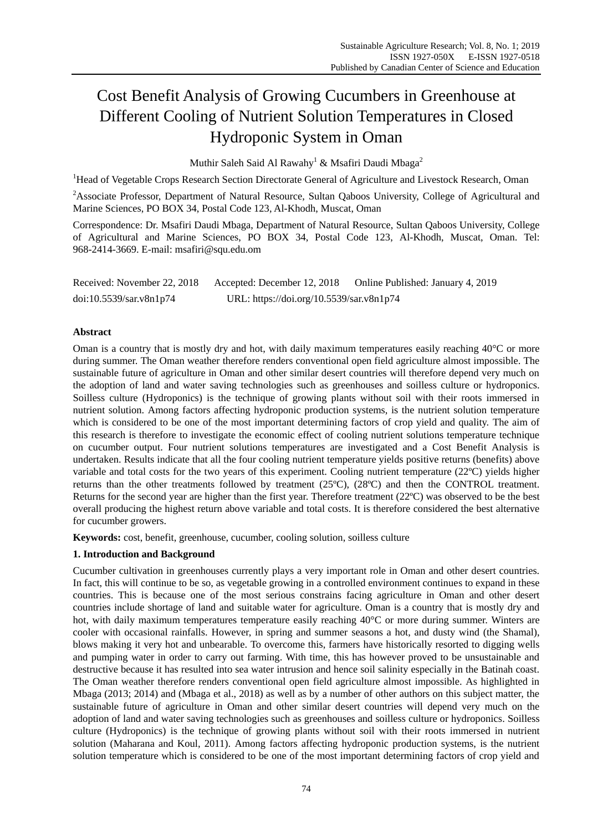# Cost Benefit Analysis of Growing Cucumbers in Greenhouse at Different Cooling of Nutrient Solution Temperatures in Closed Hydroponic System in Oman

Muthir Saleh Said Al Rawahy<sup>1</sup> & Msafiri Daudi Mbaga<sup>2</sup>

<sup>1</sup>Head of Vegetable Crops Research Section Directorate General of Agriculture and Livestock Research, Oman

<sup>2</sup>Associate Professor, Department of Natural Resource, Sultan Oaboos University, College of Agricultural and Marine Sciences, PO BOX 34, Postal Code 123, Al-Khodh, Muscat, Oman

Correspondence: Dr. Msafiri Daudi Mbaga, Department of Natural Resource, Sultan Qaboos University, College of Agricultural and Marine Sciences, PO BOX 34, Postal Code 123, Al-Khodh, Muscat, Oman. Tel: 968-2414-3669. E-mail: msafiri@squ.edu.om

| Received: November 22, 2018 | Accepted: December 12, 2018              | Online Published: January 4, 2019 |
|-----------------------------|------------------------------------------|-----------------------------------|
| doi:10.5539/sar.v8n1p74     | URL: https://doi.org/10.5539/sar.v8n1p74 |                                   |

# **Abstract**

Oman is a country that is mostly dry and hot, with daily maximum temperatures easily reaching  $40\degree\text{C}$  or more during summer. The Oman weather therefore renders conventional open field agriculture almost impossible. The sustainable future of agriculture in Oman and other similar desert countries will therefore depend very much on the adoption of land and water saving technologies such as greenhouses and soilless culture or hydroponics. Soilless culture (Hydroponics) is the technique of growing plants without soil with their roots immersed in nutrient solution. Among factors affecting hydroponic production systems, is the nutrient solution temperature which is considered to be one of the most important determining factors of crop yield and quality. The aim of this research is therefore to investigate the economic effect of cooling nutrient solutions temperature technique on cucumber output. Four nutrient solutions temperatures are investigated and a Cost Benefit Analysis is undertaken. Results indicate that all the four cooling nutrient temperature yields positive returns (benefits) above variable and total costs for the two years of this experiment. Cooling nutrient temperature (22 $\mathbb{C}$ ) yields higher returns than the other treatments followed by treatment (25 $\mathbb{C}$ ), (28 $\mathbb{C}$ ) and then the CONTROL treatment. Returns for the second year are higher than the first year. Therefore treatment  $(22 \text{ C})$  was observed to be the best overall producing the highest return above variable and total costs. It is therefore considered the best alternative for cucumber growers.

**Keywords:** cost, benefit, greenhouse, cucumber, cooling solution, soilless culture

# **1. Introduction and Background**

Cucumber cultivation in greenhouses currently plays a very important role in Oman and other desert countries. In fact, this will continue to be so, as vegetable growing in a controlled environment continues to expand in these countries. This is because one of the most serious constrains facing agriculture in Oman and other desert countries include shortage of land and suitable water for agriculture. Oman is a country that is mostly dry and hot, with daily maximum temperatures temperature easily reaching  $40\degree C$  or more during summer. Winters are cooler with occasional rainfalls. However, in spring and summer seasons a hot, and dusty wind (the Shamal), blows making it very hot and unbearable. To overcome this, farmers have historically resorted to digging wells and pumping water in order to carry out farming. With time, this has however proved to be unsustainable and destructive because it has resulted into sea water intrusion and hence soil salinity especially in the Batinah coast. The Oman weather therefore renders conventional open field agriculture almost impossible. As highlighted in Mbaga (2013; 2014) and (Mbaga et al., 2018) as well as by a number of other authors on this subject matter, the sustainable future of agriculture in Oman and other similar desert countries will depend very much on the adoption of land and water saving technologies such as greenhouses and soilless culture or hydroponics. Soilless culture (Hydroponics) is the technique of growing plants without soil with their roots immersed in nutrient solution (Maharana and Koul, 2011). Among factors affecting hydroponic production systems, is the nutrient solution temperature which is considered to be one of the most important determining factors of crop yield and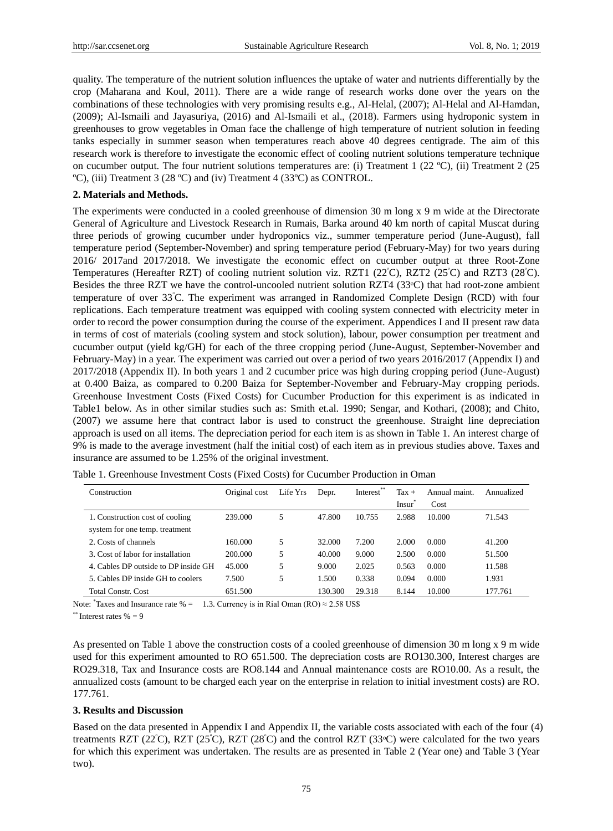quality. The temperature of the nutrient solution influences the uptake of water and nutrients differentially by the crop (Maharana and Koul, 2011). There are a wide range of research works done over the years on the combinations of these technologies with very promising results e.g., Al-Helal, (2007); Al-Helal and Al-Hamdan, (2009); Al-Ismaili and Jayasuriya, (2016) and Al-Ismaili et al., (2018). Farmers using hydroponic system in greenhouses to grow vegetables in Oman face the challenge of high temperature of nutrient solution in feeding tanks especially in summer season when temperatures reach above 40 degrees centigrade. The aim of this research work is therefore to investigate the economic effect of cooling nutrient solutions temperature technique on cucumber output. The four nutrient solutions temperatures are: (i) Treatment 1 (22 °C), (ii) Treatment 2 (25  $\mathbb{C}$ ), (iii) Treatment 3 (28  $\mathbb{C}$ ) and (iv) Treatment 4 (33  $\mathbb{C}$ ) as CONTROL.

#### **2. Materials and Methods.**

The experiments were conducted in a cooled greenhouse of dimension 30 m long x 9 m wide at the Directorate General of Agriculture and Livestock Research in Rumais, Barka around 40 km north of capital Muscat during three periods of growing cucumber under hydroponics viz., summer temperature period (June-August), fall temperature period (September-November) and spring temperature period (February-May) for two years during 2016/ 2017and 2017/2018. We investigate the economic effect on cucumber output at three Root-Zone Temperatures (Hereafter RZT) of cooling nutrient solution viz. RZT1 (22 $^{\circ}$ C), RZT2 (25 $^{\circ}$ C) and RZT3 (28 $^{\circ}$ C). Besides the three RZT we have the control-uncooled nutrient solution RZT4 (33°C) that had root-zone ambient temperature of over 33<sup>ᵒ</sup>C. The experiment was arranged in Randomized Complete Design (RCD) with four replications. Each temperature treatment was equipped with cooling system connected with electricity meter in order to record the power consumption during the course of the experiment. Appendices I and II present raw data in terms of cost of materials (cooling system and stock solution), labour, power consumption per treatment and cucumber output (yield kg/GH) for each of the three cropping period (June-August, September-November and February-May) in a year. The experiment was carried out over a period of two years 2016/2017 (Appendix I) and 2017/2018 (Appendix II). In both years 1 and 2 cucumber price was high during cropping period (June-August) at 0.400 Baiza, as compared to 0.200 Baiza for September-November and February-May cropping periods. Greenhouse Investment Costs (Fixed Costs) for Cucumber Production for this experiment is as indicated in Table1 below. As in other similar studies such as: Smith et.al. 1990; Sengar, and Kothari, (2008); and Chito, (2007) we assume here that contract labor is used to construct the greenhouse. Straight line depreciation approach is used on all items. The depreciation period for each item is as shown in Table 1. An interest charge of 9% is made to the average investment (half the initial cost) of each item as in previous studies above. Taxes and insurance are assumed to be 1.25% of the original investment.

| Construction                         | Original cost | Life Yrs | Depr.   | Interest** | $\text{Tax}$ +     | Annual maint | Annualized |
|--------------------------------------|---------------|----------|---------|------------|--------------------|--------------|------------|
|                                      |               |          |         |            | Insur <sup>®</sup> | Cost         |            |
| 1. Construction cost of cooling      | 239.000       | 5        | 47.800  | 10.755     | 2.988              | 10.000       | 71.543     |
| system for one temp, treatment       |               |          |         |            |                    |              |            |
| 2. Costs of channels                 | 160.000       | 5        | 32.000  | 7.200      | 2.000              | 0.000        | 41.200     |
| 3. Cost of labor for installation    | 200,000       | 5        | 40.000  | 9.000      | 2.500              | 0.000        | 51.500     |
| 4. Cables DP outside to DP inside GH | 45.000        | 5        | 9.000   | 2.025      | 0.563              | 0.000        | 11.588     |
| 5. Cables DP inside GH to coolers    | 7.500         | 5        | 1.500   | 0.338      | 0.094              | 0.000        | 1.931      |
| <b>Total Constr. Cost</b>            | 651.500       |          | 130.300 | 29.318     | 8.144              | 10.000       | 177.761    |

Table 1. Greenhouse Investment Costs (Fixed Costs) for Cucumber Production in Oman

Note: \*Taxes and Insurance rate % = 1.3. Currency is in Rial Oman (RO)  $\approx$  2.58 US\$

 $*$ <sup>\*\*</sup> Interest rates  $\% = 9$ 

As presented on Table 1 above the construction costs of a cooled greenhouse of dimension 30 m long x 9 m wide used for this experiment amounted to RO 651.500. The depreciation costs are RO130.300, Interest charges are RO29.318, Tax and Insurance costs are RO8.144 and Annual maintenance costs are RO10.00. As a result, the annualized costs (amount to be charged each year on the enterprise in relation to initial investment costs) are RO. 177.761.

#### **3. Results and Discussion**

Based on the data presented in Appendix I and Appendix II, the variable costs associated with each of the four (4) treatments RZT (22 $\degree$ C), RZT (25 $\degree$ C), RZT (28 $\degree$ C) and the control RZT (33 $\degree$ C) were calculated for the two years for which this experiment was undertaken. The results are as presented in Table 2 (Year one) and Table 3 (Year two).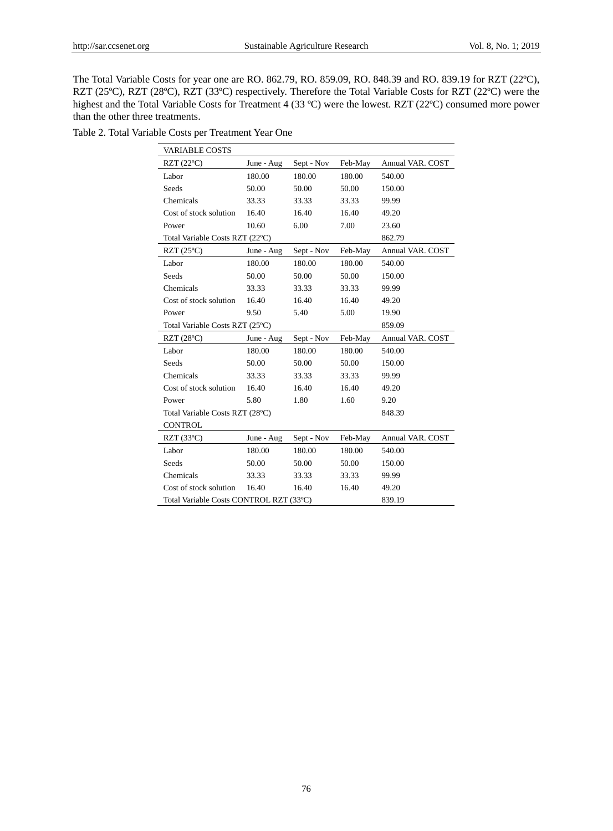The Total Variable Costs for year one are RO. 862.79, RO. 859.09, RO. 848.39 and RO. 839.19 for RZT (22 °C), RZT (25°C), RZT (28°C), RZT (33°C) respectively. Therefore the Total Variable Costs for RZT (22°C) were the highest and the Total Variable Costs for Treatment 4 (33 °C) were the lowest. RZT (22 °C) consumed more power than the other three treatments.

|  |  |  |  |  | Table 2. Total Variable Costs per Treatment Year One |  |  |
|--|--|--|--|--|------------------------------------------------------|--|--|
|--|--|--|--|--|------------------------------------------------------|--|--|

| <b>VARIABLE COSTS</b>                    |            |            |         |                         |  |  |  |
|------------------------------------------|------------|------------|---------|-------------------------|--|--|--|
| $RZT(22 \mathbb{C})$                     | June - Aug | Sept - Nov | Feb-May | Annual VAR. COST        |  |  |  |
| Labor                                    | 180.00     | 180.00     | 180.00  | 540.00                  |  |  |  |
| <b>Seeds</b>                             | 50.00      | 50.00      | 50.00   | 150.00                  |  |  |  |
| Chemicals                                | 33.33      | 33.33      | 33.33   | 99.99                   |  |  |  |
| Cost of stock solution                   | 16.40      | 16.40      | 16.40   | 49.20                   |  |  |  |
| Power                                    | 10.60      | 6.00       | 7.00    | 23.60                   |  |  |  |
| Total Variable Costs RZT (22 °C)         |            |            |         | 862.79                  |  |  |  |
| RZT $(25 \mathcal{C})$                   | June - Aug | Sept - Nov | Feb-May | Annual VAR. COST        |  |  |  |
| Labor                                    | 180.00     | 180.00     | 180.00  | 540.00                  |  |  |  |
| Seeds                                    | 50.00      | 50.00      | 50.00   | 150.00                  |  |  |  |
| Chemicals                                | 33.33      | 33.33      | 33.33   | 99.99                   |  |  |  |
| Cost of stock solution                   | 16.40      | 16.40      | 16.40   | 49.20                   |  |  |  |
| Power                                    | 9.50       | 5.40       | 5.00    | 19.90                   |  |  |  |
| Total Variable Costs RZT (25 °C)         |            |            |         | 859.09                  |  |  |  |
| $RZT(28 \text{ C})$                      | June - Aug | Sept - Nov | Feb-May | Annual VAR. COST        |  |  |  |
| Labor                                    | 180.00     | 180.00     | 180.00  | 540.00                  |  |  |  |
| <b>Seeds</b>                             | 50.00      | 50.00      | 50.00   | 150.00                  |  |  |  |
| Chemicals                                | 33.33      | 33.33      | 33.33   | 99.99                   |  |  |  |
| Cost of stock solution                   | 16.40      | 16.40      | 16.40   | 49.20                   |  |  |  |
| Power                                    | 5.80       | 1.80       | 1.60    | 9.20                    |  |  |  |
| Total Variable Costs RZT (28 °C)         |            |            |         | 848.39                  |  |  |  |
| <b>CONTROL</b>                           |            |            |         |                         |  |  |  |
| RZT $(33 \text{ C})$                     | June - Aug | Sept - Nov | Feb-May | <b>Annual VAR. COST</b> |  |  |  |
| Labor                                    | 180.00     | 180.00     | 180.00  | 540.00                  |  |  |  |
| Seeds                                    | 50.00      | 50.00      | 50.00   | 150.00                  |  |  |  |
| Chemicals                                | 33.33      | 33.33      | 33.33   | 99.99                   |  |  |  |
| Cost of stock solution                   | 16.40      | 16.40      | 16.40   | 49.20                   |  |  |  |
| Total Variable Costs CONTROL RZT (33 °C) |            |            |         | 839.19                  |  |  |  |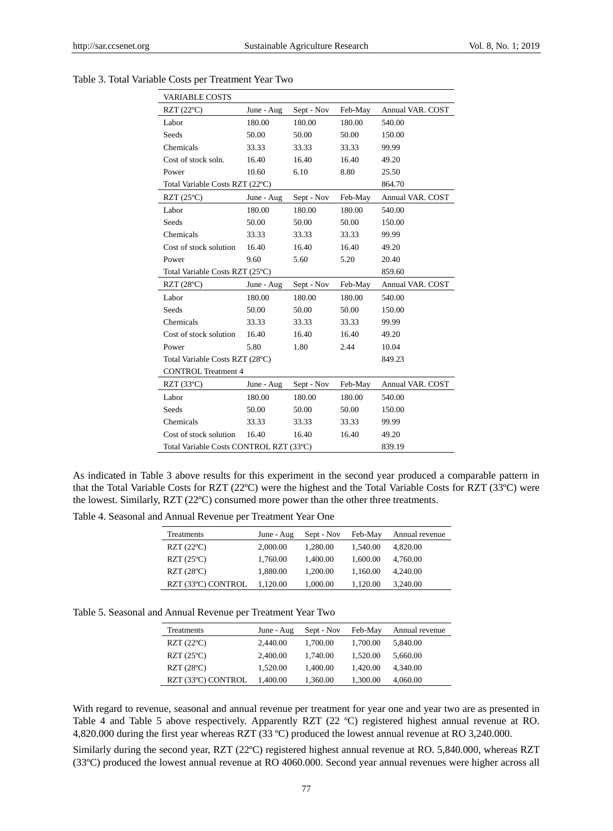| VARIABLE COSTS                                     |            |            |         |                         |  |  |
|----------------------------------------------------|------------|------------|---------|-------------------------|--|--|
| $RZT(22 \mathcal{C})$                              | June - Aug | Sept - Nov | Feb-May | Annual VAR. COST        |  |  |
| Labor                                              | 180.00     | 180.00     | 180.00  | 540.00                  |  |  |
| Seeds                                              | 50.00      | 50.00      | 50.00   | 150.00                  |  |  |
| Chemicals                                          | 33.33      | 33.33      | 33.33   | 99.99                   |  |  |
| Cost of stock soln.                                | 16.40      | 16.40      | 16.40   | 49.20                   |  |  |
| Power                                              | 10.60      | 6.10       | 8.80    | 25.50                   |  |  |
| Total Variable Costs RZT (22 °C)                   |            |            |         | 864.70                  |  |  |
| RZT $(25 \mathcal{C})$                             | June - Aug | Sept - Nov | Feb-May | <b>Annual VAR. COST</b> |  |  |
| Labor                                              | 180.00     | 180.00     | 180.00  | 540.00                  |  |  |
| Seeds                                              | 50.00      | 50.00      | 50.00   | 150.00                  |  |  |
| Chemicals                                          | 33.33      | 33.33      | 33.33   | 99.99                   |  |  |
| Cost of stock solution                             | 16.40      | 16.40      | 16.40   | 49.20                   |  |  |
| Power                                              | 9.60       | 5.60       | 5.20    | 20.40                   |  |  |
| Total Variable Costs RZT $(25 \mathcal{C})$        |            |            |         | 859.60                  |  |  |
| $RZT(28 \text{ C})$                                | June - Aug | Sept - Nov | Feb-May | <b>Annual VAR. COST</b> |  |  |
| Labor                                              | 180.00     | 180.00     | 180.00  | 540.00                  |  |  |
| Seeds                                              | 50.00      | 50.00      | 50.00   | 150.00                  |  |  |
| Chemicals                                          | 33.33      | 33.33      | 33.33   | 99.99                   |  |  |
| Cost of stock solution                             | 16.40      | 16.40      | 16.40   | 49.20                   |  |  |
| Power                                              | 5.80       | 1.80       | 2.44    | 10.04                   |  |  |
| Total Variable Costs RZT (28 °C)                   |            |            |         | 849.23                  |  |  |
| <b>CONTROL Treatment 4</b>                         |            |            |         |                         |  |  |
| $RZT(33 \mathcal{C})$                              | June - Aug | Sept - Nov | Feb-May | Annual VAR. COST        |  |  |
| Labor                                              | 180.00     | 180.00     | 180.00  | 540.00                  |  |  |
| Seeds                                              | 50.00      | 50.00      | 50.00   | 150.00                  |  |  |
| Chemicals                                          | 33.33      | 33.33      | 33.33   | 99.99                   |  |  |
| Cost of stock solution                             | 16.40      | 16.40      | 16.40   | 49.20                   |  |  |
| Total Variable Costs CONTROL RZT (33 °C)<br>839.19 |            |            |         |                         |  |  |

Table 3. Total Variable Costs per Treatment Year Two

As indicated in Table 3 above results for this experiment in the second year produced a comparable pattern in that the Total Variable Costs for RZT (22 °C) were the highest and the Total Variable Costs for RZT (33 °C) were the lowest. Similarly, RZT  $(22 \mathbb{C})$  consumed more power than the other three treatments.

Table 4. Seasonal and Annual Revenue per Treatment Year One

| Treatments                   | June - Aug | Sept - Nov | Feb-May  | Annual revenue |
|------------------------------|------------|------------|----------|----------------|
| $RZT(22 \mathbb{C})$         | 2,000.00   | 1,280.00   | 1.540.00 | 4,820.00       |
| $RZT(25 \mathcal{C})$        | 1.760.00   | 1.400.00   | 1.600.00 | 4.760.00       |
| $RZT(28 \text{ C})$          | 1,880.00   | 1,200.00   | 1.160.00 | 4,240.00       |
| $RZT(33 \mathbb{C})$ CONTROL | 1,120.00   | 1,000.00   | 1.120.00 | 3,240.00       |

Table 5. Seasonal and Annual Revenue per Treatment Year Two

| Treatments                   | June - Aug | Sept - Nov | Feb-May  | Annual revenue |
|------------------------------|------------|------------|----------|----------------|
| $RZT(22 \mathcal{C})$        | 2.440.00   | 1,700.00   | 1.700.00 | 5.840.00       |
| $RZT(25 \mathbb{C})$         | 2.400.00   | 1,740.00   | 1.520.00 | 5.660.00       |
| $RZT(28 \mathcal{C})$        | 1.520.00   | 1.400.00   | 1.420.00 | 4.340.00       |
| $RZT(33 \mathbb{C})$ CONTROL | 1.400.00   | 1.360.00   | 1.300.00 | 4.060.00       |

With regard to revenue, seasonal and annual revenue per treatment for year one and year two are as presented in Table 4 and Table 5 above respectively. Apparently RZT (22 °C) registered highest annual revenue at RO. 4,820.000 during the first year whereas RZT (33 °C) produced the lowest annual revenue at RO 3,240.000.

Similarly during the second year, RZT (22 $\mathbb{C}$ ) registered highest annual revenue at RO. 5,840.000, whereas RZT (33ºC) produced the lowest annual revenue at RO 4060.000. Second year annual revenues were higher across all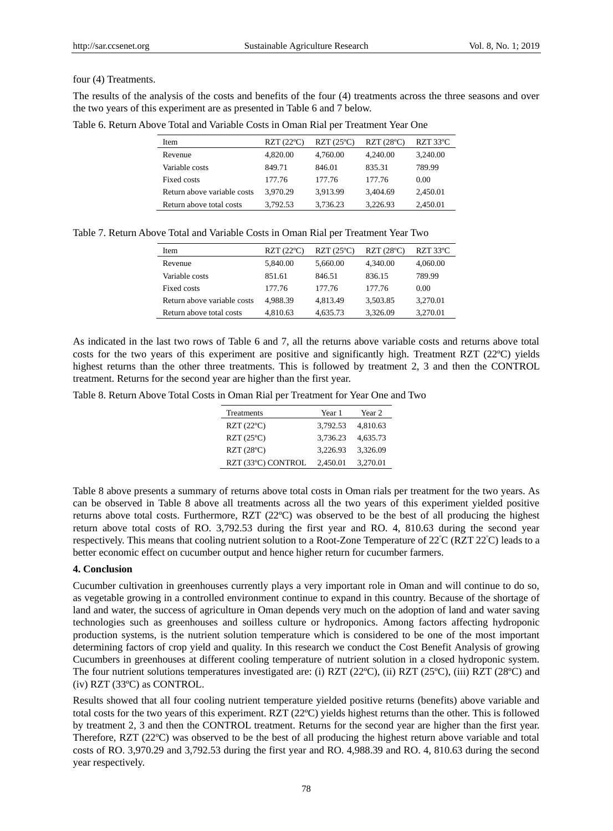#### four (4) Treatments.

The results of the analysis of the costs and benefits of the four (4) treatments across the three seasons and over the two years of this experiment are as presented in Table 6 and 7 below.

Table 6. Return Above Total and Variable Costs in Oman Rial per Treatment Year One

| Item                        | $RZT(22 \mathcal{C})$ | $RZT(25 \mathcal{C})$ | $RZT(28 \text{ C})$ | RZT 33 $C$ |
|-----------------------------|-----------------------|-----------------------|---------------------|------------|
|                             |                       |                       |                     |            |
| Revenue                     | 4.820.00              | 4,760.00              | 4,240.00            | 3.240.00   |
| Variable costs              | 849.71                | 846.01                | 835.31              | 789.99     |
| Fixed costs                 | 177.76                | 177.76                | 177.76              | 0.00       |
| Return above variable costs | 3,970.29              | 3,913.99              | 3,404.69            | 2,450.01   |
| Return above total costs    | 3.792.53              | 3.736.23              | 3.226.93            | 2,450.01   |

Table 7. Return Above Total and Variable Costs in Oman Rial per Treatment Year Two

| Item                        | $RZT(22 \mathcal{C})$ | $RZT(25 \mathbb{C})$ | $RZT(28 \text{ C})$ | RZT 33 $C$ |
|-----------------------------|-----------------------|----------------------|---------------------|------------|
| Revenue                     | 5.840.00              | 5.660.00             | 4,340.00            | 4,060.00   |
| Variable costs              | 851.61                | 846.51               | 836.15              | 789.99     |
| Fixed costs                 | 177.76                | 177.76               | 177.76              | 0.00       |
| Return above variable costs | 4.988.39              | 4.813.49             | 3.503.85            | 3.270.01   |
| Return above total costs    | 4,810.63              | 4.635.73             | 3,326.09            | 3.270.01   |

As indicated in the last two rows of Table 6 and 7, all the returns above variable costs and returns above total costs for the two years of this experiment are positive and significantly high. Treatment RZT  $(22 \text{ C})$  yields highest returns than the other three treatments. This is followed by treatment 2, 3 and then the CONTROL treatment. Returns for the second year are higher than the first year.

Table 8. Return Above Total Costs in Oman Rial per Treatment for Year One and Two

| Treatments           | Year 1   | Year 2   |
|----------------------|----------|----------|
| $RZT(22 \mathbb{C})$ | 3.792.53 | 4.810.63 |
| $RZT(25 \mathbb{C})$ | 3.736.23 | 4,635.73 |
| $RZT(28 \text{ C})$  | 3.226.93 | 3,326.09 |
| RZT (33 °C) CONTROL  | 2,450.01 | 3,270.01 |

Table 8 above presents a summary of returns above total costs in Oman rials per treatment for the two years. As can be observed in Table 8 above all treatments across all the two years of this experiment yielded positive returns above total costs. Furthermore, RZT  $(22 \text{ C})$  was observed to be the best of all producing the highest return above total costs of RO. 3,792.53 during the first year and RO. 4, 810.63 during the second year respectively. This means that cooling nutrient solution to a Root-Zone Temperature of 22<sup>ᵒ</sup>C (RZT 22<sup>ᵒ</sup>C) leads to a better economic effect on cucumber output and hence higher return for cucumber farmers.

## **4. Conclusion**

Cucumber cultivation in greenhouses currently plays a very important role in Oman and will continue to do so, as vegetable growing in a controlled environment continue to expand in this country. Because of the shortage of land and water, the success of agriculture in Oman depends very much on the adoption of land and water saving technologies such as greenhouses and soilless culture or hydroponics. Among factors affecting hydroponic production systems, is the nutrient solution temperature which is considered to be one of the most important determining factors of crop yield and quality. In this research we conduct the Cost Benefit Analysis of growing Cucumbers in greenhouses at different cooling temperature of nutrient solution in a closed hydroponic system. The four nutrient solutions temperatures investigated are: (i) RZT (22°C), (ii) RZT (25°C), (iii) RZT (28°C) and  $(iv)$  RZT (33 °C) as CONTROL.

Results showed that all four cooling nutrient temperature yielded positive returns (benefits) above variable and total costs for the two years of this experiment. RZT  $(22 \text{ C})$  yields highest returns than the other. This is followed by treatment 2, 3 and then the CONTROL treatment. Returns for the second year are higher than the first year. Therefore, RZT  $(22 \mathbb{C})$  was observed to be the best of all producing the highest return above variable and total costs of RO. 3,970.29 and 3,792.53 during the first year and RO. 4,988.39 and RO. 4, 810.63 during the second year respectively.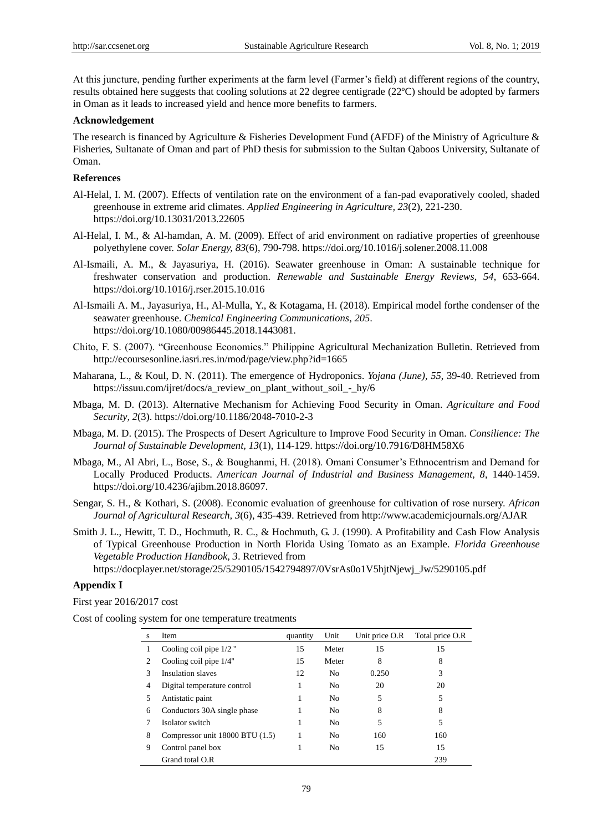At this juncture, pending further experiments at the farm level (Farmer's field) at different regions of the country, results obtained here suggests that cooling solutions at 22 degree centigrade (22  $\mathbb{C}$ ) should be adopted by farmers in Oman as it leads to increased yield and hence more benefits to farmers.

#### **Acknowledgement**

The research is financed by Agriculture & Fisheries Development Fund (AFDF) of the Ministry of Agriculture & Fisheries, Sultanate of Oman and part of PhD thesis for submission to the Sultan Qaboos University, Sultanate of Oman.

## **References**

- Al-Helal, I. M. (2007). Effects of ventilation rate on the environment of a fan-pad evaporatively cooled, shaded greenhouse in extreme arid climates. *Applied Engineering in Agriculture, 23*(2), 221-230. https://doi.org/10.13031/2013.22605
- Al-Helal, I. M., & Al-hamdan, A. M. (2009). Effect of arid environment on radiative properties of greenhouse polyethylene cover. *Solar Energy, 83*(6), 790-798. https://doi.org/10.1016/j.solener.2008.11.008
- Al-Ismaili, A. M., & Jayasuriya, H. (2016). Seawater greenhouse in Oman: A sustainable technique for freshwater conservation and production. *Renewable and Sustainable Energy Reviews, 54*, 653-664. https://doi.org/10.1016/j.rser.2015.10.016
- Al-Ismaili A. M., Jayasuriya, H., Al-Mulla, Y., & Kotagama, H. (2018). Empirical model forthe condenser of the seawater greenhouse. *Chemical Engineering Communications, 205*. https://doi.org/10.1080/00986445.2018.1443081.
- Chito, F. S. (2007). "Greenhouse Economics." Philippine Agricultural Mechanization Bulletin. Retrieved from http://ecoursesonline.iasri.res.in/mod/page/view.php?id=1665
- Maharana, L., & Koul, D. N. (2011). The emergence of Hydroponics. *Yojana (June), 55*, 39-40. Retrieved from https://issuu.com/ijret/docs/a\_review\_on\_plant\_without\_soil\_-\_hy/6
- Mbaga, M. D. (2013). Alternative Mechanism for Achieving Food Security in Oman. *Agriculture and Food Security, 2*(3). https://doi.org/10.1186/2048-7010-2-3
- Mbaga, M. D. (2015). The Prospects of Desert Agriculture to Improve Food Security in Oman. *Consilience: The Journal of Sustainable Development, 13*(1), 114-129. https://doi.org/10.7916/D8HM58X6
- Mbaga, M., Al Abri, L., Bose, S., & Boughanmi, H. (2018). Omani Consumer's Ethnocentrism and Demand for Locally Produced Products. *American Journal of Industrial and Business Management, 8*, 1440-1459. https://doi.org/10.4236/ajibm.2018.86097.
- Sengar, S. H., & Kothari, S. (2008). Economic evaluation of greenhouse for cultivation of rose nursery. *African Journal of Agricultural Research, 3*(6), 435-439. Retrieved from http://www.academicjournals.org/AJAR
- Smith J. L., Hewitt, T. D., Hochmuth, R. C., & Hochmuth, G. J. (1990). A Profitability and Cash Flow Analysis of Typical Greenhouse Production in North Florida Using Tomato as an Example. *Florida Greenhouse Vegetable Production Handbook, 3*. Retrieved from

https://docplayer.net/storage/25/5290105/1542794897/0VsrAs0o1V5hjtNjewj\_Jw/5290105.pdf

#### **Appendix I**

First year 2016/2017 cost

Cost of cooling system for one temperature treatments

| S             | Item                            | quantity | Unit           | Unit price O.R | Total price O.R |
|---------------|---------------------------------|----------|----------------|----------------|-----------------|
|               | Cooling coil pipe $1/2$ "       | 15       | Meter          | 15             | 15              |
| 2             | Cooling coil pipe 1/4"          | 15       | Meter          | 8              | 8               |
| $\mathcal{R}$ | Insulation slaves               | 12       | No             | 0.250          | 3               |
| 4             | Digital temperature control     | 1        | No             | 20             | 20              |
| 5             | Antistatic paint                |          | No             | 5              | 5               |
| 6             | Conductors 30A single phase     |          | N <sub>0</sub> | 8              | 8               |
|               | Isolator switch                 |          | No             | 5              | 5               |
| 8             | Compressor unit 18000 BTU (1.5) |          | No             | 160            | 160             |
| 9             | Control panel box               |          | No             | 15             | 15              |
|               | Grand total O.R                 |          |                |                | 239             |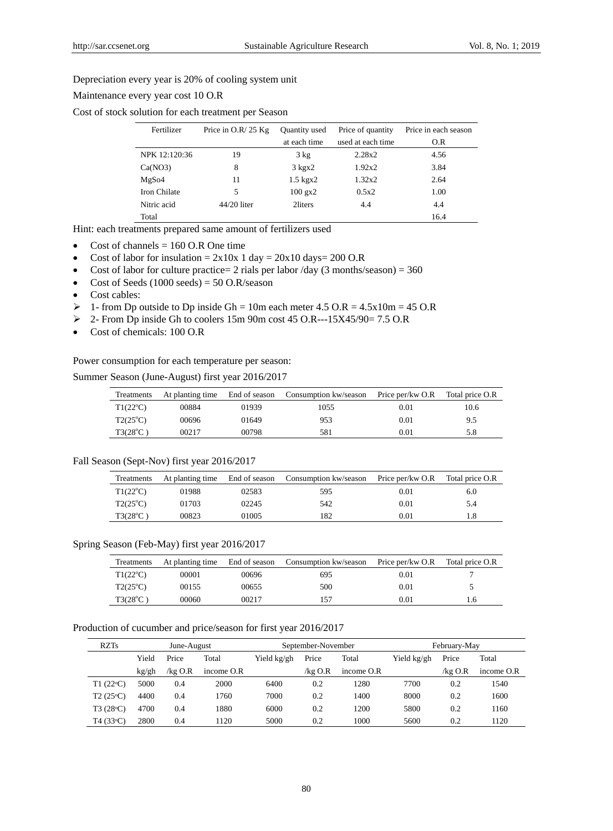#### Depreciation every year is 20% of cooling system unit

## Maintenance every year cost 10 O.R

Cost of stock solution for each treatment per Season

| Fertilizer    | Price in $O.R/25 Kg$ | <b>Quantity</b> used | Price of quantity | Price in each season |
|---------------|----------------------|----------------------|-------------------|----------------------|
|               |                      | at each time         | used at each time | O.R                  |
| NPK 12:120:36 | 19                   | $3 \text{ kg}$       | 2.28x2            | 4.56                 |
| Ca(NO3)       | 8                    | $3 \text{ kg}x2$     | 1.92x2            | 3.84                 |
| MgSo4         | 11                   | $1.5$ kgx $2$        | 1.32x2            | 2.64                 |
| Iron Chilate  | 5                    | $100$ gx $2$         | 0.5x2             | 1.00                 |
| Nitric acid   | 44/20 liter          | 2liters              | 4.4               | 4.4                  |
| Total         |                      |                      |                   | 16.4                 |

Hint: each treatments prepared same amount of fertilizers used

- Cost of channels  $= 160$  O.R One time
- Cost of labor for insulation =  $2x10x 1$  day =  $20x10$  days= 200 O.R
- Cost of labor for culture practice= 2 rials per labor  $\text{day}$  (3 months/season) = 360
- Cost of Seeds  $(1000 \text{ seeds}) = 50 \text{ O.R/season}$
- Cost cables:
- $\geq 1$  from Dp outside to Dp inside Gh = 10m each meter 4.5 O.R = 4.5x10m = 45 O.R
- 2- From Dp inside Gh to coolers 15m 90m cost 45 O.R---15X45/90= 7.5 O.R
- Cost of chemicals: 100 O.R

Power consumption for each temperature per season:

Summer Season (June-August) first year 2016/2017

| Treatments        | End of season<br>At planting time |       | Consumption kw/season | Price per/kw O.R | Total price O.R |
|-------------------|-----------------------------------|-------|-----------------------|------------------|-----------------|
| $T1(22^{\circ}C)$ | 00884                             | 01939 | 1055                  | 0.01             | 10.6            |
| $T2(25^{\circ}C)$ | 00696                             | 01649 | 953                   | 0.01             | 9.5             |
| $T3(28^{\circ}C)$ | 00217                             | 00798 | 581                   | 0.01             | 5.8             |

#### Fall Season (Sept-Nov) first year 2016/2017

| Treatments        | At planting time | End of season | Consumption kw/season | Price per/kw O.R | Total price O.R |  |
|-------------------|------------------|---------------|-----------------------|------------------|-----------------|--|
| $T1(22^{\circ}C)$ | 01988            | 02583         | 595                   | 0.01             | 6.0             |  |
| $T2(25^{\circ}C)$ | 01703            | 02245         | 542                   | 0.01             | 5.4             |  |
| $T3(28^{\circ}C)$ | 00823            | 01005         | 82                    | 0.01             |                 |  |

#### Spring Season (Feb-May) first year 2016/2017

| Treatments               | At planting time |       | End of season Consumption kw/season Price per/kw O.R |      | Total price O.R |
|--------------------------|------------------|-------|------------------------------------------------------|------|-----------------|
| $T1(22^{\circ}C)$        | 00001            | 00696 | 695                                                  | 0.01 |                 |
| $T2(25^{\circ}C)$        | 00155            | 00655 | 500                                                  | 0.01 |                 |
| $T3(28^{\circ}\text{C})$ | 00060            | 00217 | 157                                                  | 0.01 | 1.6             |

#### Production of cucumber and price/season for first year 2016/2017

| <b>RZTs</b>        | June-August |            | September-November |             |           | February-May |             |           |            |
|--------------------|-------------|------------|--------------------|-------------|-----------|--------------|-------------|-----------|------------|
|                    | Yield       | Price      | Total              | Yield kg/gh | Price     | Total        | Yield kg/gh | Price     | Total      |
|                    | kg/gh       | $/$ kg O.R | income $O.R$       |             | /kg $O.R$ | income O.R   |             | /kg $O.R$ | income O.R |
| T1 $(22^{\circ}C)$ | 5000        | 0.4        | 2000               | 6400        | 0.2       | 1280         | 7700        | 0.2       | 1540       |
| $T2(25^{\circ}C)$  | 4400        | 0.4        | 1760               | 7000        | 0.2       | 1400         | 8000        | 0.2       | 1600       |
| $T3(28^{\circ}C)$  | 4700        | 0.4        | 1880               | 6000        | 0.2       | 1200         | 5800        | 0.2       | 1160       |
| T4(33°C)           | 2800        | 0.4        | 1120               | 5000        | 0.2       | 1000         | 5600        | 0.2       | 1120       |